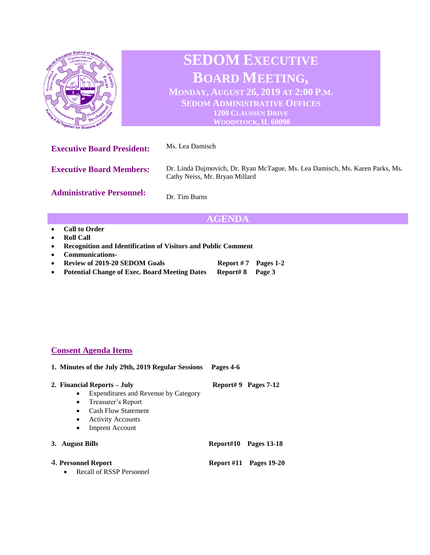

## **AGENDA**

- **Call to Order**
- **Roll Call**
- **Recognition and Identification of Visitors and Public Comment**
- **Communications-**
- **Review of 2019-20 SEDOM Goals Report # 7 Pages 1-2**

**1. Minutes of the July 29th, 2019 Regular Sessions Pages 4-6** 

• **Potential Change of Exec. Board Meeting Dates Report# 8 Page 3**

## **Consent Agenda Items**

|                                                 |           | 2. Financial Reports – July<br>Expenditures and Revenue by Category<br>Treasurer's Report<br><b>Cash Flow Statement</b> |             | Report# 9 Pages $7-12$    |
|-------------------------------------------------|-----------|-------------------------------------------------------------------------------------------------------------------------|-------------|---------------------------|
|                                                 |           | <b>Activity Accounts</b>                                                                                                |             |                           |
|                                                 | $\bullet$ | <b>Imprest Account</b>                                                                                                  |             |                           |
| <b>August Bills</b><br>3.                       |           | Report#10                                                                                                               | Pages 13-18 |                           |
| 4. Personnel Report<br>Recall of RSSP Personnel |           |                                                                                                                         |             | Report $\#11$ Pages 19-20 |